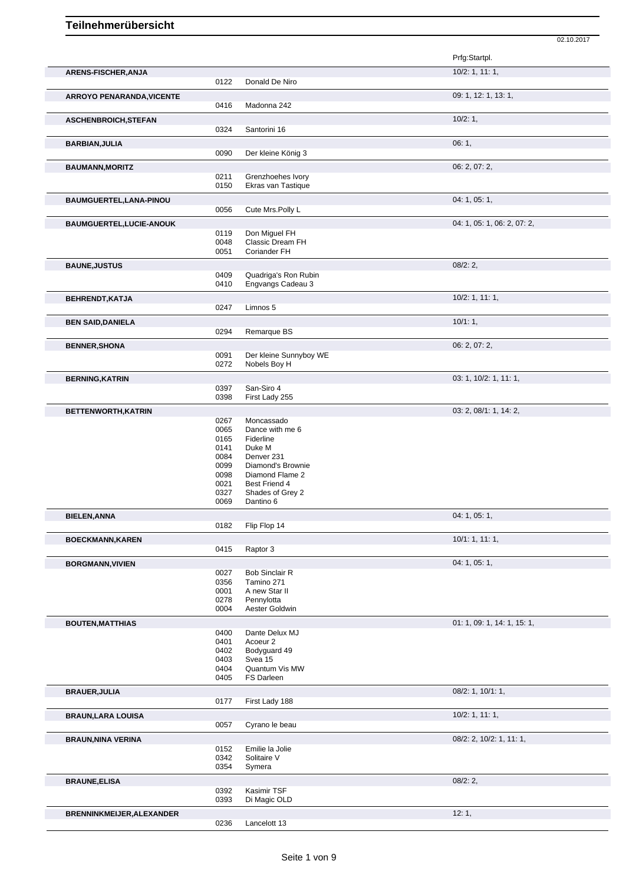## **Teilnehmerübersicht**

|                                  |              |                                 | Prfg:Startpl.               |
|----------------------------------|--------------|---------------------------------|-----------------------------|
| ARENS-FISCHER, ANJA              |              |                                 | 10/2: 1, 11: 1,             |
|                                  | 0122         | Donald De Niro                  |                             |
| <b>ARROYO PENARANDA, VICENTE</b> |              |                                 | 09: 1, 12: 1, 13: 1,        |
|                                  | 0416         | Madonna 242                     |                             |
|                                  |              |                                 |                             |
| ASCHENBROICH, STEFAN             |              |                                 | 10/2:1,                     |
|                                  | 0324         | Santorini 16                    |                             |
| <b>BARBIAN, JULIA</b>            |              |                                 | 06:1,                       |
|                                  | 0090         | Der kleine König 3              |                             |
| <b>BAUMANN, MORITZ</b>           |              |                                 | 06: 2, 07: 2,               |
|                                  | 0211         | Grenzhoehes Ivory               |                             |
|                                  | 0150         | Ekras van Tastique              |                             |
| BAUMGUERTEL, LANA-PINOU          |              |                                 | 04: 1, 05: 1,               |
|                                  | 0056         | Cute Mrs. Polly L               |                             |
| BAUMGUERTEL, LUCIE-ANOUK         |              |                                 | 04: 1, 05: 1, 06: 2, 07: 2, |
|                                  | 0119         | Don Miguel FH                   |                             |
|                                  | 0048         | Classic Dream FH                |                             |
|                                  | 0051         | Coriander FH                    |                             |
| <b>BAUNE, JUSTUS</b>             |              |                                 | 08/2:2                      |
|                                  | 0409         | Quadriga's Ron Rubin            |                             |
|                                  | 0410         | Engvangs Cadeau 3               |                             |
| BEHRENDT, KATJA                  |              |                                 | $10/2$ : 1, 11: 1,          |
|                                  | 0247         | Limnos 5                        |                             |
| <b>BEN SAID, DANIELA</b>         |              |                                 | 10/1:1,                     |
|                                  | 0294         | Remarque BS                     |                             |
| <b>BENNER, SHONA</b>             |              |                                 | 06: 2, 07: 2,               |
|                                  | 0091         | Der kleine Sunnyboy WE          |                             |
|                                  | 0272         | Nobels Boy H                    |                             |
| <b>BERNING, KATRIN</b>           |              |                                 | 03: 1, 10/2: 1, 11: 1,      |
|                                  | 0397         | San-Siro 4                      |                             |
|                                  | 0398         | First Lady 255                  |                             |
| BETTENWORTH, KATRIN              |              |                                 | 03: 2, 08/1: 1, 14: 2,      |
|                                  | 0267         | Moncassado                      |                             |
|                                  | 0065         | Dance with me 6                 |                             |
|                                  | 0165         | Fiderline                       |                             |
|                                  | 0141         | Duke M                          |                             |
|                                  | 0084<br>0099 | Denver 231<br>Diamond's Brownie |                             |
|                                  | 0098         | Diamond Flame 2                 |                             |
|                                  | 0021         | Best Friend 4                   |                             |
|                                  | 0327         | Shades of Grey 2                |                             |
|                                  | 0069         | Dantino 6                       |                             |
| <b>BIELEN, ANNA</b>              |              |                                 | 04: 1, 05: 1,               |
|                                  | 0182         | Flip Flop 14                    |                             |
| <b>BOECKMANN, KAREN</b>          |              |                                 | 10/1: 1, 11: 1,             |
|                                  | 0415         | Raptor 3                        |                             |
|                                  |              |                                 | 04: 1, 05: 1,               |
| <b>BORGMANN, VIVIEN</b>          | 0027         | <b>Bob Sinclair R</b>           |                             |
|                                  | 0356         | Tamino 271                      |                             |
|                                  | 0001         | A new Star II                   |                             |
|                                  | 0278         | Pennylotta                      |                             |
|                                  | 0004         | Aester Goldwin                  |                             |
| <b>BOUTEN, MATTHIAS</b>          |              |                                 | 01: 1, 09: 1, 14: 1, 15: 1, |
|                                  | 0400         | Dante Delux MJ                  |                             |
|                                  | 0401         | Acoeur <sub>2</sub>             |                             |
|                                  | 0402<br>0403 | Bodyguard 49<br>Svea 15         |                             |
|                                  |              |                                 |                             |
|                                  | 0404         | Quantum Vis MW                  |                             |
|                                  | 0405         | FS Darleen                      |                             |
|                                  |              |                                 |                             |
| <b>BRAUER, JULIA</b>             | 0177         | First Lady 188                  | $08/2$ : 1, 10/1: 1,        |
|                                  |              |                                 |                             |
| <b>BRAUN, LARA LOUISA</b>        |              |                                 | 10/2: 1, 11: 1,             |
|                                  | 0057         | Cyrano le beau                  |                             |
| <b>BRAUN, NINA VERINA</b>        |              |                                 | 08/2: 2, 10/2: 1, 11: 1,    |
|                                  | 0152         | Emilie la Jolie                 |                             |
|                                  | 0342         | Solitaire V                     |                             |
|                                  | 0354         | Symera                          |                             |
| <b>BRAUNE, ELISA</b>             | 0392         | Kasimir TSF                     | 08/2:2,                     |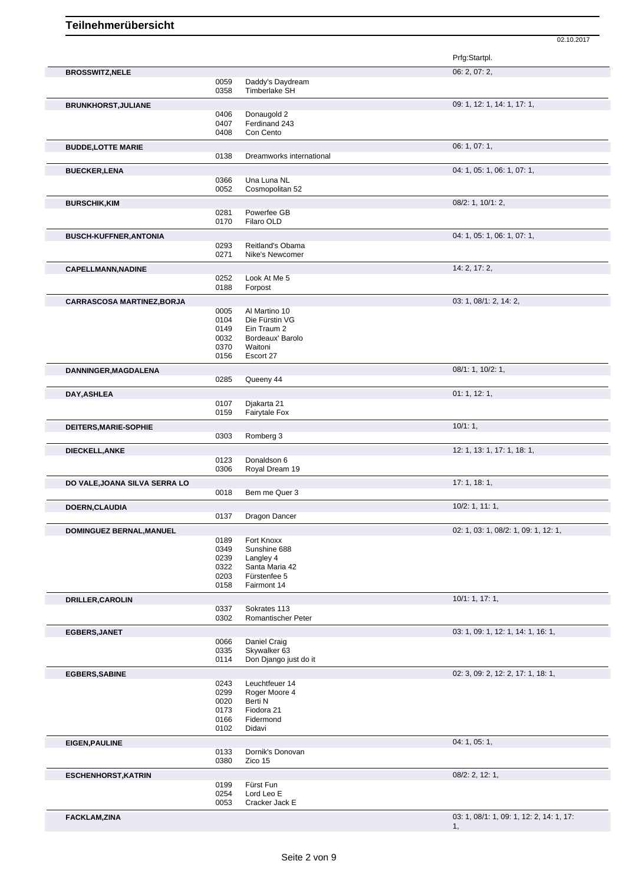|                                   |              |                                   | Prfg:Startpl.                            |
|-----------------------------------|--------------|-----------------------------------|------------------------------------------|
| <b>BROSSWITZ, NELE</b>            |              |                                   | 06: 2, 07: 2,                            |
|                                   | 0059<br>0358 | Daddy's Daydream<br>Timberlake SH |                                          |
|                                   |              |                                   |                                          |
| <b>BRUNKHORST, JULIANE</b>        |              |                                   | 09: 1, 12: 1, 14: 1, 17: 1,              |
|                                   | 0406<br>0407 | Donaugold 2<br>Ferdinand 243      |                                          |
|                                   | 0408         | Con Cento                         |                                          |
| <b>BUDDE,LOTTE MARIE</b>          |              |                                   | 06: 1, 07: 1,                            |
|                                   | 0138         | Dreamworks international          |                                          |
|                                   |              |                                   | 04: 1, 05: 1, 06: 1, 07: 1,              |
| <b>BUECKER,LENA</b>               | 0366         | Una Luna NL                       |                                          |
|                                   | 0052         | Cosmopolitan 52                   |                                          |
| <b>BURSCHIK, KIM</b>              |              |                                   | $08/2$ : 1, 10/1: 2,                     |
|                                   | 0281         | Powerfee GB                       |                                          |
|                                   | 0170         | Filaro OLD                        |                                          |
| <b>BUSCH-KUFFNER, ANTONIA</b>     |              |                                   | 04: 1, 05: 1, 06: 1, 07: 1,              |
|                                   | 0293         | Reitland's Obama                  |                                          |
|                                   | 0271         | Nike's Newcomer                   |                                          |
| <b>CAPELLMANN, NADINE</b>         |              |                                   | 14: 2, 17: 2,                            |
|                                   | 0252         | Look At Me 5                      |                                          |
|                                   | 0188         | Forpost                           |                                          |
| <b>CARRASCOSA MARTINEZ, BORJA</b> |              |                                   | 03: 1, 08/1: 2, 14: 2,                   |
|                                   | 0005         | Al Martino 10                     |                                          |
|                                   | 0104         | Die Fürstin VG                    |                                          |
|                                   | 0149<br>0032 | Ein Traum 2<br>Bordeaux' Barolo   |                                          |
|                                   | 0370         | Waitoni                           |                                          |
|                                   | 0156         | Escort 27                         |                                          |
| DANNINGER, MAGDALENA              |              |                                   | 08/1: 1, 10/2: 1,                        |
|                                   | 0285         | Queeny 44                         |                                          |
| DAY, ASHLEA                       |              |                                   | 01: 1, 12: 1,                            |
|                                   | 0107         | Djakarta 21                       |                                          |
|                                   | 0159         | Fairytale Fox                     |                                          |
| DEITERS, MARIE-SOPHIE             |              |                                   | 10/1:1,                                  |
|                                   | 0303         | Romberg 3                         |                                          |
|                                   |              |                                   | 12: 1, 13: 1, 17: 1, 18: 1,              |
| <b>DIECKELL, ANKE</b>             | 0123         | Donaldson 6                       |                                          |
|                                   | 0306         | Royal Dream 19                    |                                          |
| DO VALE, JOANA SILVA SERRA LO     |              |                                   | 17:1, 18:1,                              |
|                                   | 0018         | Bem me Quer 3                     |                                          |
| DOERN, CLAUDIA                    |              |                                   | $10/2$ : 1, 11: 1,                       |
|                                   | 0137         | Dragon Dancer                     |                                          |
| DOMINGUEZ BERNAL, MANUEL          |              |                                   | 02: 1, 03: 1, 08/2: 1, 09: 1, 12: 1,     |
|                                   | 0189         | Fort Knoxx                        |                                          |
|                                   | 0349         | Sunshine 688                      |                                          |
|                                   | 0239         | Langley 4                         |                                          |
|                                   | 0322<br>0203 | Santa Maria 42<br>Fürstenfee 5    |                                          |
|                                   | 0158         | Fairmont 14                       |                                          |
|                                   |              |                                   | 10/1: 1, 17: 1,                          |
| <b>DRILLER, CAROLIN</b>           | 0337         | Sokrates 113                      |                                          |
|                                   | 0302         | Romantischer Peter                |                                          |
| <b>EGBERS, JANET</b>              |              |                                   | 03: 1, 09: 1, 12: 1, 14: 1, 16: 1,       |
|                                   | 0066         | Daniel Craig                      |                                          |
|                                   | 0335         | Skywalker 63                      |                                          |
|                                   | 0114         | Don Django just do it             |                                          |
| <b>EGBERS, SABINE</b>             |              |                                   | 02: 3, 09: 2, 12: 2, 17: 1, 18: 1,       |
|                                   | 0243         | Leuchtfeuer 14                    |                                          |
|                                   | 0299         | Roger Moore 4                     |                                          |
|                                   | 0020<br>0173 | Berti N<br>Fiodora 21             |                                          |
|                                   | 0166         | Fidermond                         |                                          |
|                                   | 0102         | Didavi                            |                                          |
| <b>EIGEN, PAULINE</b>             |              |                                   | 04: 1, 05: 1,                            |
|                                   | 0133         | Dornik's Donovan                  |                                          |
|                                   | 0380         | Zico 15                           |                                          |
| <b>ESCHENHORST, KATRIN</b>        |              |                                   | $08/2$ : 2, 12: 1,                       |
|                                   | 0199         | Fürst Fun                         |                                          |
|                                   | 0254         | Lord Leo E                        |                                          |
|                                   | 0053         | Cracker Jack E                    |                                          |
| <b>FACKLAM,ZINA</b>               |              |                                   | 03: 1, 08/1: 1, 09: 1, 12: 2, 14: 1, 17: |
|                                   |              |                                   | 1,                                       |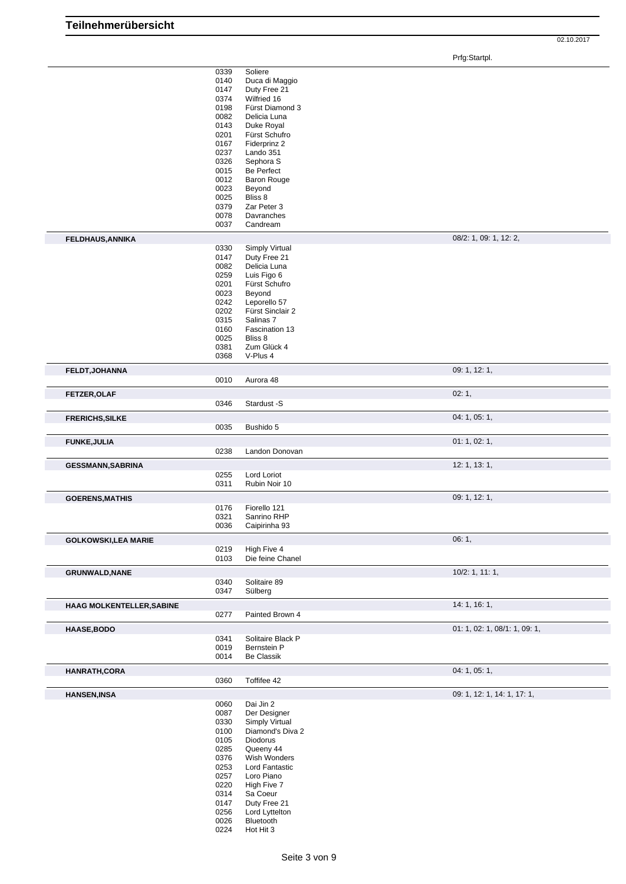Prfg:Startpl.

|                                                                                                                                                                          | 0339 | Soliere              |                               |
|--------------------------------------------------------------------------------------------------------------------------------------------------------------------------|------|----------------------|-------------------------------|
|                                                                                                                                                                          | 0140 | Duca di Maggio       |                               |
|                                                                                                                                                                          | 0147 | Duty Free 21         |                               |
|                                                                                                                                                                          | 0374 | Wilfried 16          |                               |
|                                                                                                                                                                          | 0198 | Fürst Diamond 3      |                               |
|                                                                                                                                                                          | 0082 | Delicia Luna         |                               |
|                                                                                                                                                                          | 0143 | Duke Royal           |                               |
|                                                                                                                                                                          | 0201 | Fürst Schufro        |                               |
|                                                                                                                                                                          |      | Fiderprinz 2         |                               |
|                                                                                                                                                                          | 0167 |                      |                               |
|                                                                                                                                                                          | 0237 | Lando 351            |                               |
|                                                                                                                                                                          | 0326 | Sephora <sub>S</sub> |                               |
|                                                                                                                                                                          | 0015 | Be Perfect           |                               |
|                                                                                                                                                                          | 0012 | <b>Baron Rouge</b>   |                               |
|                                                                                                                                                                          | 0023 | Beyond               |                               |
|                                                                                                                                                                          | 0025 | Bliss 8              |                               |
|                                                                                                                                                                          | 0379 | Zar Peter 3          |                               |
|                                                                                                                                                                          | 0078 | Davranches           |                               |
|                                                                                                                                                                          |      |                      |                               |
|                                                                                                                                                                          | 0037 | Candream             |                               |
| <b>FELDHAUS, ANNIKA</b>                                                                                                                                                  |      |                      | 08/2: 1, 09: 1, 12: 2,        |
|                                                                                                                                                                          | 0330 | Simply Virtual       |                               |
|                                                                                                                                                                          | 0147 | Duty Free 21         |                               |
|                                                                                                                                                                          | 0082 | Delicia Luna         |                               |
|                                                                                                                                                                          | 0259 | Luis Figo 6          |                               |
|                                                                                                                                                                          | 0201 | Fürst Schufro        |                               |
|                                                                                                                                                                          |      | Beyond               |                               |
|                                                                                                                                                                          | 0023 |                      |                               |
|                                                                                                                                                                          | 0242 | Leporello 57         |                               |
|                                                                                                                                                                          | 0202 | Fürst Sinclair 2     |                               |
|                                                                                                                                                                          | 0315 | Salinas 7            |                               |
|                                                                                                                                                                          | 0160 | Fascination 13       |                               |
|                                                                                                                                                                          | 0025 | Bliss 8              |                               |
|                                                                                                                                                                          | 0381 | Zum Glück 4          |                               |
|                                                                                                                                                                          | 0368 | V-Plus 4             |                               |
|                                                                                                                                                                          |      |                      | 09: 1, 12: 1,                 |
| FELDT, JOHANNA                                                                                                                                                           |      |                      |                               |
|                                                                                                                                                                          | 0010 | Aurora 48            |                               |
| FETZER, OLAF                                                                                                                                                             |      |                      | 02:1,                         |
|                                                                                                                                                                          | 0346 | Stardust -S          |                               |
|                                                                                                                                                                          |      |                      |                               |
| <b>FRERICHS, SILKE</b>                                                                                                                                                   |      |                      | 04: 1, 05: 1,                 |
|                                                                                                                                                                          | 0035 | Bushido 5            |                               |
| <b>FUNKE, JULIA</b>                                                                                                                                                      |      |                      | 01:1,02:1,                    |
|                                                                                                                                                                          | 0238 | Landon Donovan       |                               |
|                                                                                                                                                                          |      |                      |                               |
| <b>GESSMANN, SABRINA</b>                                                                                                                                                 |      |                      | 12: 1, 13: 1,                 |
|                                                                                                                                                                          | 0255 | Lord Loriot          |                               |
|                                                                                                                                                                          | 0311 | Rubin Noir 10        |                               |
|                                                                                                                                                                          |      |                      |                               |
|                                                                                                                                                                          |      |                      | 09: 1, 12: 1,                 |
|                                                                                                                                                                          |      |                      |                               |
|                                                                                                                                                                          | 0176 | Fiorello 121         |                               |
|                                                                                                                                                                          |      |                      |                               |
|                                                                                                                                                                          | 0321 | Sanrino RHP          |                               |
|                                                                                                                                                                          | 0036 | Caipirinha 93        |                               |
|                                                                                                                                                                          |      |                      | 06:1,                         |
|                                                                                                                                                                          | 0219 | High Five 4          |                               |
|                                                                                                                                                                          | 0103 | Die feine Chanel     |                               |
|                                                                                                                                                                          |      |                      |                               |
|                                                                                                                                                                          |      |                      | $10/2$ : 1, 11: 1,            |
|                                                                                                                                                                          | 0340 | Solitaire 89         |                               |
|                                                                                                                                                                          | 0347 | Sülberg              |                               |
|                                                                                                                                                                          |      |                      | 14: 1, 16: 1,                 |
|                                                                                                                                                                          | 0277 | Painted Brown 4      |                               |
|                                                                                                                                                                          |      |                      |                               |
|                                                                                                                                                                          |      |                      | 01: 1, 02: 1, 08/1: 1, 09: 1, |
|                                                                                                                                                                          | 0341 | Solitaire Black P    |                               |
|                                                                                                                                                                          | 0019 | Bernstein P          |                               |
|                                                                                                                                                                          | 0014 | Be Classik           |                               |
|                                                                                                                                                                          |      |                      |                               |
|                                                                                                                                                                          |      |                      | 04: 1, 05: 1,                 |
|                                                                                                                                                                          | 0360 | Toffifee 42          |                               |
|                                                                                                                                                                          |      |                      | 09: 1, 12: 1, 14: 1, 17: 1,   |
|                                                                                                                                                                          | 0060 | Dai Jin 2            |                               |
| <b>GOERENS, MATHIS</b><br><b>GOLKOWSKI,LEA MARIE</b><br><b>GRUNWALD, NANE</b><br><b>HAAG MOLKENTELLER, SABINE</b><br>HAASE, BODO<br>HANRATH, CORA<br><b>HANSEN, INSA</b> | 0087 | Der Designer         |                               |
|                                                                                                                                                                          | 0330 | Simply Virtual       |                               |
|                                                                                                                                                                          |      |                      |                               |
|                                                                                                                                                                          | 0100 | Diamond's Diva 2     |                               |
|                                                                                                                                                                          | 0105 | Diodorus             |                               |
|                                                                                                                                                                          | 0285 | Queeny 44            |                               |
|                                                                                                                                                                          | 0376 | Wish Wonders         |                               |
|                                                                                                                                                                          | 0253 | Lord Fantastic       |                               |
|                                                                                                                                                                          | 0257 | Loro Piano           |                               |
|                                                                                                                                                                          | 0220 | High Five 7          |                               |
|                                                                                                                                                                          | 0314 | Sa Coeur             |                               |
|                                                                                                                                                                          | 0147 | Duty Free 21         |                               |
|                                                                                                                                                                          | 0256 | Lord Lyttelton       |                               |
|                                                                                                                                                                          | 0026 | Bluetooth            |                               |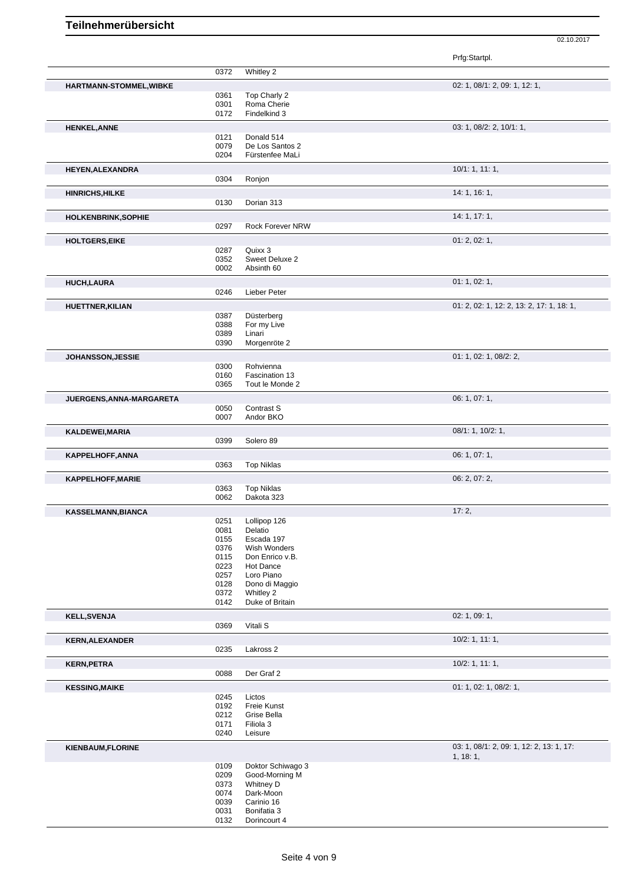|                                |              |                              | Prfg:Startpl.                             |
|--------------------------------|--------------|------------------------------|-------------------------------------------|
|                                | 0372         | Whitley 2                    |                                           |
| <b>HARTMANN-STOMMEL, WIBKE</b> |              |                              | 02: 1, 08/1: 2, 09: 1, 12: 1,             |
|                                | 0361         | Top Charly 2                 |                                           |
|                                | 0301         | Roma Cherie                  |                                           |
|                                | 0172         | Findelkind 3                 |                                           |
| <b>HENKEL, ANNE</b>            |              |                              | 03: 1, 08/2: 2, 10/1: 1,                  |
|                                | 0121         | Donald 514                   |                                           |
|                                | 0079         | De Los Santos 2              |                                           |
|                                | 0204         | Fürstenfee MaLi              |                                           |
| <b>HEYEN, ALEXANDRA</b>        |              |                              | 10/1: 1, 11: 1,                           |
|                                | 0304         | Ronjon                       |                                           |
| <b>HINRICHS, HILKE</b>         |              |                              | 14: 1, 16: 1,                             |
|                                | 0130         | Dorian 313                   |                                           |
| <b>HOLKENBRINK, SOPHIE</b>     |              |                              | 14: 1, 17: 1,                             |
|                                | 0297         | <b>Rock Forever NRW</b>      |                                           |
|                                |              |                              |                                           |
| <b>HOLTGERS, EIKE</b>          |              |                              | 01: 2, 02: 1,                             |
|                                | 0287         | Quixx 3                      |                                           |
|                                | 0352<br>0002 | Sweet Deluxe 2<br>Absinth 60 |                                           |
|                                |              |                              |                                           |
| <b>HUCH,LAURA</b>              |              |                              | 01: 1, 02: 1,                             |
|                                | 0246         | Lieber Peter                 |                                           |
| <b>HUETTNER, KILIAN</b>        |              |                              | 01: 2, 02: 1, 12: 2, 13: 2, 17: 1, 18: 1, |
|                                | 0387         | Düsterberg                   |                                           |
|                                | 0388         | For my Live                  |                                           |
|                                | 0389         | Linari                       |                                           |
|                                | 0390         | Morgenröte 2                 |                                           |
| JOHANSSON, JESSIE              |              |                              | 01: 1, 02: 1, 08/2: 2,                    |
|                                | 0300         | Rohvienna                    |                                           |
|                                | 0160         | Fascination 13               |                                           |
|                                | 0365         | Tout le Monde 2              |                                           |
| JUERGENS, ANNA-MARGARETA       |              |                              | 06: 1, 07: 1,                             |
|                                | 0050         | Contrast S                   |                                           |
|                                | 0007         | Andor BKO                    |                                           |
| KALDEWEI, MARIA                |              |                              | 08/1: 1, 10/2: 1,                         |
|                                | 0399         | Solero 89                    |                                           |
|                                |              |                              | 06: 1, 07: 1,                             |
| KAPPELHOFF, ANNA               | 0363         | <b>Top Niklas</b>            |                                           |
|                                |              |                              |                                           |
| KAPPELHOFF, MARIE              |              |                              | 06: 2, 07: 2,                             |
|                                | 0363         | <b>Top Niklas</b>            |                                           |
|                                | 0062         | Dakota 323                   |                                           |
| KASSELMANN, BIANCA             |              |                              | 17:2,                                     |
|                                | 0251         | Lollipop 126                 |                                           |
|                                | 0081         | Delatio                      |                                           |
|                                | 0155         | Escada 197                   |                                           |
|                                | 0376         | Wish Wonders                 |                                           |
|                                | 0115<br>0223 | Don Enrico v.B.<br>Hot Dance |                                           |
|                                | 0257         | Loro Piano                   |                                           |
|                                | 0128         | Dono di Maggio               |                                           |
|                                | 0372         | Whitley 2                    |                                           |
|                                | 0142         | Duke of Britain              |                                           |
| <b>KELL, SVENJA</b>            |              |                              | 02: 1, 09: 1,                             |
|                                | 0369         | Vitali <sub>S</sub>          |                                           |
|                                |              |                              | $10/2$ : 1, 11: 1,                        |
| <b>KERN, ALEXANDER</b>         | 0235         |                              |                                           |
|                                |              | Lakross 2                    |                                           |
| <b>KERN, PETRA</b>             |              |                              | $10/2$ : 1, 11: 1,                        |
|                                | 0088         | Der Graf 2                   |                                           |
| <b>KESSING, MAIKE</b>          |              |                              | 01: 1, 02: 1, 08/2: 1,                    |
|                                | 0245         | Lictos                       |                                           |
|                                | 0192         | Freie Kunst                  |                                           |
|                                | 0212         | Grise Bella                  |                                           |
|                                | 0171         | Filiola 3                    |                                           |
|                                | 0240         | Leisure                      |                                           |
| <b>KIENBAUM, FLORINE</b>       |              |                              | 03: 1, 08/1: 2, 09: 1, 12: 2, 13: 1, 17:  |
|                                |              |                              | 1, 18:1,                                  |
|                                | 0109         | Doktor Schiwago 3            |                                           |
|                                | 0209         | Good-Morning M               |                                           |
|                                | 0373         | Whitney D                    |                                           |
|                                | 0074         | Dark-Moon                    |                                           |
|                                | 0039         | Carinio 16                   |                                           |
|                                | 0031         | Bonifatia 3                  |                                           |
|                                | 0132         | Dorincourt 4                 |                                           |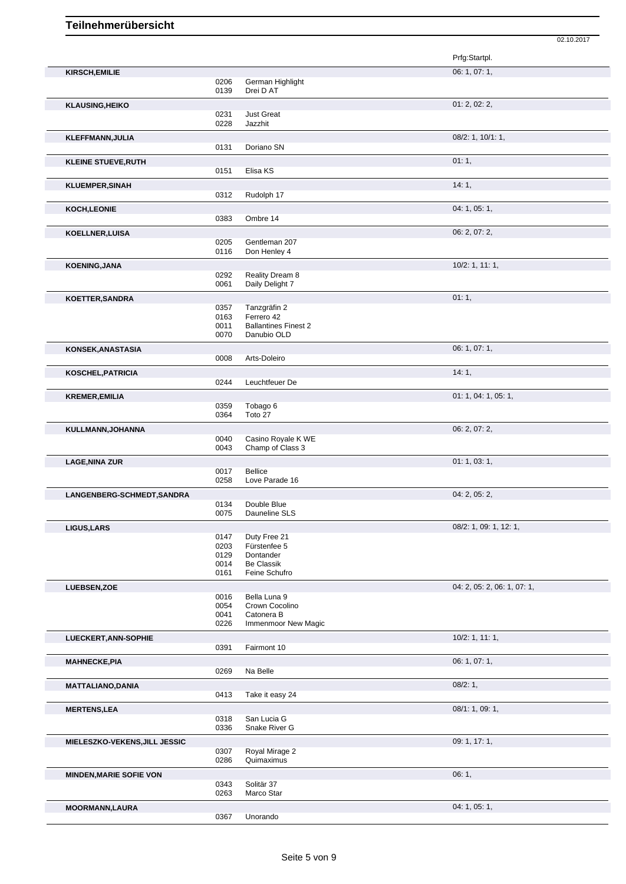|                                |              |                                   | Prfg:Startpl.               |
|--------------------------------|--------------|-----------------------------------|-----------------------------|
| <b>KIRSCH, EMILIE</b>          |              |                                   | 06: 1, 07: 1,               |
|                                | 0206         | German Highlight                  |                             |
|                                | 0139         | Drei D AT                         |                             |
| <b>KLAUSING, HEIKO</b>         |              |                                   | 01: 2, 02: 2,               |
|                                | 0231         | <b>Just Great</b>                 |                             |
|                                | 0228         | Jazzhit                           |                             |
| KLEFFMANN, JULIA               |              |                                   | 08/2: 1, 10/1: 1,           |
|                                | 0131         | Doriano SN                        |                             |
|                                |              |                                   |                             |
| <b>KLEINE STUEVE, RUTH</b>     | 0151         | Elisa KS                          | 01:1,                       |
|                                |              |                                   |                             |
| <b>KLUEMPER, SINAH</b>         |              |                                   | 14:1,                       |
|                                | 0312         | Rudolph 17                        |                             |
| <b>KOCH,LEONIE</b>             |              |                                   | 04: 1, 05: 1,               |
|                                | 0383         | Ombre 14                          |                             |
| <b>KOELLNER, LUISA</b>         |              |                                   | 06: 2, 07: 2,               |
|                                | 0205         | Gentleman 207                     |                             |
|                                | 0116         | Don Henley 4                      |                             |
| <b>KOENING, JANA</b>           |              |                                   | 10/2: 1, 11: 1,             |
|                                | 0292         | Reality Dream 8                   |                             |
|                                | 0061         | Daily Delight 7                   |                             |
| KOETTER, SANDRA                |              |                                   | 01:1,                       |
|                                | 0357         | Tanzgräfin 2                      |                             |
|                                | 0163         | Ferrero 42                        |                             |
|                                | 0011         | <b>Ballantines Finest 2</b>       |                             |
|                                | 0070         | Danubio OLD                       |                             |
| KONSEK, ANASTASIA              |              |                                   | 06: 1, 07: 1,               |
|                                | 0008         | Arts-Doleiro                      |                             |
| <b>KOSCHEL, PATRICIA</b>       |              |                                   | 14:1,                       |
|                                | 0244         | Leuchtfeuer De                    |                             |
|                                |              |                                   | 01: 1, 04: 1, 05: 1,        |
| <b>KREMER, EMILIA</b>          | 0359         | Tobago 6                          |                             |
|                                | 0364         | Toto 27                           |                             |
|                                |              |                                   | 06: 2, 07: 2,               |
| KULLMANN, JOHANNA              | 0040         | Casino Royale K WE                |                             |
|                                | 0043         | Champ of Class 3                  |                             |
|                                |              |                                   | 01: 1, 03: 1,               |
| <b>LAGE, NINA ZUR</b>          | 0017         | <b>Bellice</b>                    |                             |
|                                | 0258         | Love Parade 16                    |                             |
|                                |              |                                   | 04: 2, 05: 2,               |
| LANGENBERG-SCHMEDT, SANDRA     | 0134         | Double Blue                       |                             |
|                                | 0075         | Dauneline SLS                     |                             |
|                                |              |                                   | 08/2: 1, 09: 1, 12: 1,      |
| <b>LIGUS, LARS</b>             | 0147         | Duty Free 21                      |                             |
|                                | 0203         | Fürstenfee 5                      |                             |
|                                | 0129         | Dontander                         |                             |
|                                | 0014         | <b>Be Classik</b>                 |                             |
|                                | 0161         | Feine Schufro                     |                             |
| LUEBSEN, ZOE                   |              |                                   | 04: 2, 05: 2, 06: 1, 07: 1, |
|                                | 0016         | Bella Luna 9                      |                             |
|                                | 0054         | Crown Cocolino                    |                             |
|                                | 0041<br>0226 | Catonera B<br>Immenmoor New Magic |                             |
|                                |              |                                   |                             |
| LUECKERT, ANN-SOPHIE           |              |                                   | $10/2$ : 1, 11: 1,          |
|                                | 0391         | Fairmont 10                       |                             |
| <b>MAHNECKE, PIA</b>           |              |                                   | 06: 1, 07: 1,               |
|                                | 0269         | Na Belle                          |                             |
| <b>MATTALIANO, DANIA</b>       |              |                                   | 08/2:1,                     |
|                                | 0413         | Take it easy 24                   |                             |
| <b>MERTENS, LEA</b>            |              |                                   | 08/1:1,09:1,                |
|                                | 0318         | San Lucia G                       |                             |
|                                | 0336         | Snake River G                     |                             |
|                                |              |                                   | 09: 1, 17: 1,               |
| MIELESZKO-VEKENS, JILL JESSIC  | 0307         | Royal Mirage 2                    |                             |
|                                | 0286         | Quimaximus                        |                             |
|                                |              |                                   |                             |
| <b>MINDEN, MARIE SOFIE VON</b> | 0343         | Solitär 37                        | 06:1,                       |
|                                | 0263         | Marco Star                        |                             |
|                                |              |                                   |                             |
| <b>MOORMANN,LAURA</b>          | 0367         | Unorando                          | 04: 1, 05: 1,               |
|                                |              |                                   |                             |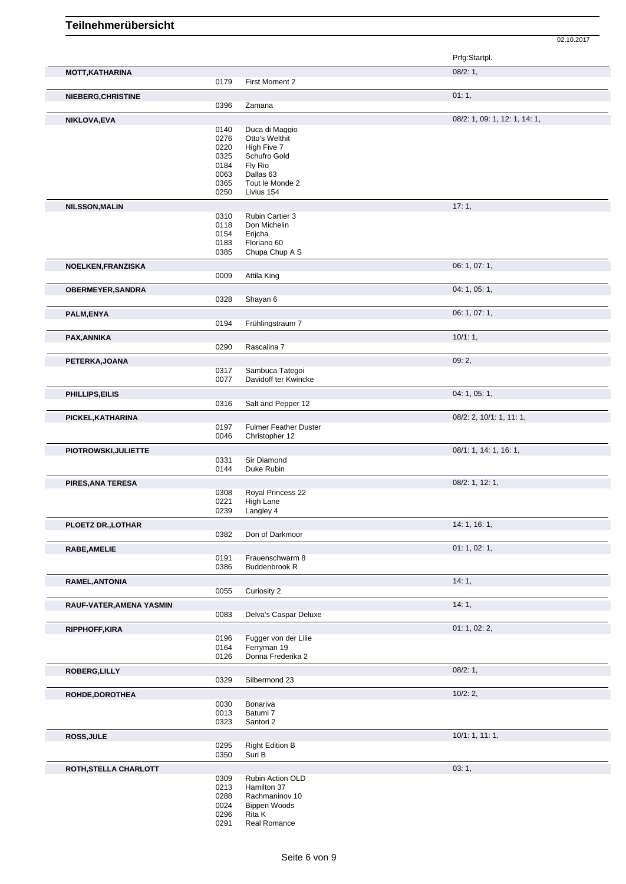## **Teilnehmerübersicht**

|                          |              |                                                | Prfg:Startpl.                 |
|--------------------------|--------------|------------------------------------------------|-------------------------------|
| <b>MOTT, KATHARINA</b>   |              |                                                | 08/2:1,                       |
|                          | 0179         | First Moment 2                                 |                               |
| NIEBERG, CHRISTINE       |              |                                                | 01:1,                         |
|                          | 0396         | Zamana                                         |                               |
| NIKLOVA, EVA             |              |                                                | 08/2: 1, 09: 1, 12: 1, 14: 1, |
|                          | 0140         | Duca di Maggio                                 |                               |
|                          | 0276         | Otto's Welthit                                 |                               |
|                          | 0220<br>0325 | High Five 7<br>Schufro Gold                    |                               |
|                          | 0184         | Fly Rio                                        |                               |
|                          | 0063         | Dallas 63                                      |                               |
|                          | 0365         | Tout le Monde 2                                |                               |
|                          | 0250         | Livius 154                                     |                               |
| <b>NILSSON, MALIN</b>    |              |                                                | 17:1,                         |
|                          | 0310<br>0118 | Rubin Cartier 3<br>Don Michelin                |                               |
|                          | 0154         | Erijcha                                        |                               |
|                          | 0183         | Floriano 60                                    |                               |
|                          | 0385         | Chupa Chup A S                                 |                               |
| NOELKEN, FRANZISKA       |              |                                                | 06: 1, 07: 1,                 |
|                          | 0009         | Attila King                                    |                               |
| <b>OBERMEYER, SANDRA</b> |              |                                                | 04: 1, 05: 1,                 |
|                          | 0328         | Shayan 6                                       |                               |
| PALM, ENYA               |              |                                                | 06: 1, 07: 1,                 |
|                          | 0194         | Frühlingstraum 7                               |                               |
| PAX, ANNIKA              |              |                                                | 10/1:1,                       |
|                          | 0290         | Rascalina 7                                    |                               |
| PETERKA, JOANA           |              |                                                | 09:2,                         |
|                          | 0317<br>0077 | Sambuca Tategoi<br>Davidoff ter Kwincke        |                               |
|                          |              |                                                |                               |
| PHILLIPS, EILIS          |              |                                                | 04: 1, 05: 1,                 |
|                          | 0316         | Salt and Pepper 12                             |                               |
| PICKEL, KATHARINA        |              |                                                | 08/2: 2, 10/1: 1, 11: 1,      |
|                          | 0197<br>0046 | <b>Fulmer Feather Duster</b><br>Christopher 12 |                               |
| PIOTROWSKI, JULIETTE     |              |                                                | 08/1: 1, 14: 1, 16: 1,        |
|                          | 0331         | Sir Diamond                                    |                               |
|                          | 0144         | Duke Rubin                                     |                               |
| PIRES, ANA TERESA        |              |                                                | 08/2: 1, 12: 1,               |
|                          | 0308         | Royal Princess 22                              |                               |
|                          | 0221         | High Lane                                      |                               |
|                          | 0239         | Langley 4                                      |                               |
| PLOETZ DR., LOTHAR       | 0382         | Don of Darkmoor                                | 14:1, 16:1,                   |
|                          |              |                                                |                               |
| <b>RABE, AMELIE</b>      | 0191         | Frauenschwarm 8                                | 01: 1, 02: 1,                 |
|                          | 0386         | <b>Buddenbrook R</b>                           |                               |
| RAMEL, ANTONIA           |              |                                                | 14:1,                         |
|                          | 0055         | Curiosity 2                                    |                               |
| RAUF-VATER, AMENA YASMIN |              |                                                | 14:1,                         |
|                          | 0083         | Delva's Caspar Deluxe                          |                               |
| RIPPHOFF, KIRA           |              |                                                | 01: 1, 02: 2,                 |
|                          | 0196         | Fugger von der Lilie                           |                               |
|                          | 0164         | Ferryman 19                                    |                               |
|                          | 0126         | Donna Frederika 2                              |                               |
| ROBERG, LILLY            |              |                                                | 08/2:1,                       |
|                          | 0329         | Silbermond 23                                  |                               |
| ROHDE, DOROTHEA          |              |                                                | 10/2:2,                       |
|                          | 0030<br>0013 | Bonariva<br>Batumi 7                           |                               |
|                          | 0323         | Santori 2                                      |                               |
| <b>ROSS, JULE</b>        |              |                                                | 10/1: 1, 11: 1,               |
|                          | 0295         | <b>Right Edition B</b>                         |                               |
|                          | 0350         | Suri B                                         |                               |
| ROTH, STELLA CHARLOTT    |              |                                                | 03:1,                         |
|                          | 0309         | Rubin Action OLD                               |                               |
|                          | 0213<br>0288 | Hamilton 37<br>Rachmaninov 10                  |                               |
|                          | 0024         | <b>Bippen Woods</b>                            |                               |
|                          | 0296         | Rita K                                         |                               |
|                          | 0291         | Real Romance                                   |                               |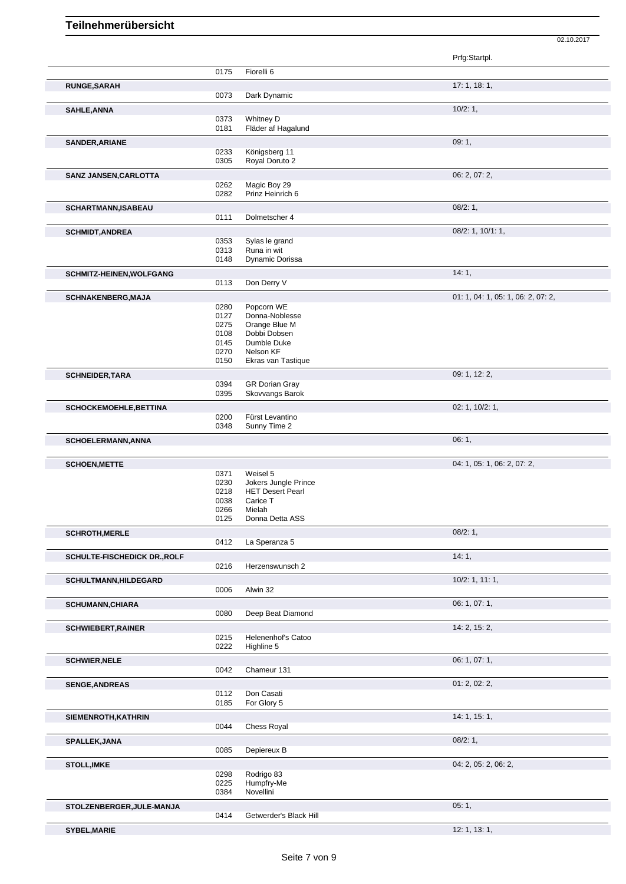Prfg:Startpl. 0175 Fiorelli 6 **RUNGE,SARAH 17: 1, 18: 1, 19: 1, 19: 1, 19: 1, 19: 1, 19: 1, 19: 1, 19: 1, 19: 1, 19: 1, 19: 1, 19: 1, 19: 1, 19: 1, 19: 1, 19: 1, 19: 1, 19: 1, 19: 1, 19: 1, 19: 1, 19: 1, 19: 1, 19: 1, 19: 1, 19: 1, 19: 1, 19: 1, 19: 1,** 0073 Dark Dynamic **SAHLE,ANNA** 10/2: 1, 0373 Whitney D 0181 Fläder af Hagalund **SANDER, ARIANE** 09: 1, 09: 1, 09: 1, 09: 1, 09: 1, 09: 1, 09: 1, 09: 1, 09: 1, 09: 1, 09: 1, 09: 1, 09: 1, 09: 1, 09: 1, 09: 1, 09: 1, 09: 1, 09: 1, 09: 1, 09: 1, 09: 1, 09: 1, 09: 1, 09: 0, 0, 0, 0, 0, 0, 0, 0, 0, 0, 0, Königsberg 11 0305 Royal Doruto 2 **SANZ JANSEN,CARLOTTA** 06: 2, 07: 2, 0262 Magic Boy 29 0282 Prinz Heinrich 6 **SCHARTMANN,ISABEAU** 08/2: 1, 0111 Dolmetscher 4 **SCHMIDT,ANDREA** 08/2: 1, 10/1: 1, 0353 Sylas le grand<br>0313 Runa in wit 0313 Runa in wit<br>0148 Dynamic Do Dynamic Dorissa **SCHMITZ-HEINEN, WOLFGANG** 14: 1, 2002 14: 1, 2004 14: 1, 2004 14: 1, 2004 14: 1, 2004 14: 1, 2004 14: 1, 2004 14: 1, 2004 14: 1, 2004 14: 1, 2004 14: 1, 2004 14: 1, 2004 14: 1, 2004 14: 1, 2004 14: 1, 2004 14: 1, 2004 16: 0113 Don Derry V **SCHNAKENBERG,MAJA** 01: 1, 04: 1, 05: 1, 06: 2, 07: 2, 0280 Popcorn WE<br>0127 Donna-Noble 0127 Donna-Noblesse<br>0275 Orange Blue M 0275 Orange Blue M<br>0108 Dobbi Dobsen 0108 Dobbi Dobsen<br>0145 Dumble Duke 0145 Dumble Duke<br>0270 Nelson KF 0270 Nelson KF<br>0150 Ekras van Ekras van Tastique **SCHNEIDER,TARA** 09: 1, 12: 2, 0394 GR Dorian Gray 0394 GR Dorian Gray<br>0395 Skovvangs Baro Skovvangs Barok **SCHOCKEMOEHLE,BETTINA** 02: 1, 10/2: 1, 0200 Fürst Levantino 0348 Sunny Time 2 **SCHOELERMANN,ANNA** 06: 1, **SCHOEN,METTE** 04: 1, 05: 1, 06: 2, 07: 2, 0371 Weisel 5<br>0230 Jokers Ju 0230 Jokers Jungle Prince<br>0218 HET Desert Pearl 0218 HET Desert Pearl<br>0038 Carice T 0038 Carice T<br>0266 Mielah 0266 Mielah<br>0125 Donna Donna Detta ASS **SCHROTH, MERLE** 08/2: 1, 08/2: 1, 08/2: 1, 08/2: 1, 08/2: 1, 08/2: 1, 08/2: 1, 09/2: 1, 09/2: 1, 09/2: 1, 09/2: 1, 09/2: 1, 09/2: 1, 09/2: 1, 09/2: 1, 09/2: 1, 09/2: 1, 09/2: 1, 09/2: 0, 09/2: 1, 09/2: 0, 0, 0, 0, 0, 0, 0 La Speranza 5 **SCHULTE-FISCHEDICK DR.,ROLF** 0216 Herzenswunsch 2<br>
0216 Herzenswunsch 2 Herzenswunsch 2 **SCHULTMANN,HILDEGARD** 10/2: 1, 11: 1,<br>
0006 Alwin 32 Alwin 32 **SCHUMANN, CHIARA** 06: 1, 07: 1, Deep Beat Diamond **SCHWIEBERT, RAINER** 14: 2, 15: 2,<br>0215 Helenenhof's Catoo Helenenhof's Catoo 0222 Highline 5 **SCHWIER,NELE** 06: 1, 07: 1, Chameur 131 **SENGE,ANDREAS** 01: 2, 02: 2, 0112 Don Casati 0185 For Glory 5 **SIEMENROTH,KATHRIN 14: 1, 15: 1, 16: 1, 16: 1, 16: 1, 16: 1, 16: 1, 16: 1, 16: 1, 16: 1, 16: 1, 16: 1, 16: 1,** 0044 Chess Royal **SPALLEK,JANA** 08/2: 1, 0085 Depiereux B **STOLL,IMKE** 04: 2, 05: 2, 06: 2, 0298 Rodrigo 83 0225 Humpfry-Me<br>0384 Novellini **Novellini STOLZENBERGER,JULE-MANJA** 05: 1, 0414 Getwerder's Black Hill

02.10.2017

**SYBEL,MARIE** 12: 1, 13: 1, 13: 1, 13: 1, 13: 1, 13: 1, 13: 1, 13: 1, 13: 1, 13: 1, 13: 1, 13: 1, 13: 1, 13: 1, 13: 1, 13: 1, 13: 1, 13: 1, 13: 1, 13: 1, 13: 1, 13: 1, 1, 13: 1, 1, 13: 1, 1, 13: 1, 1, 13: 1, 1, 1, 1, 1, 1,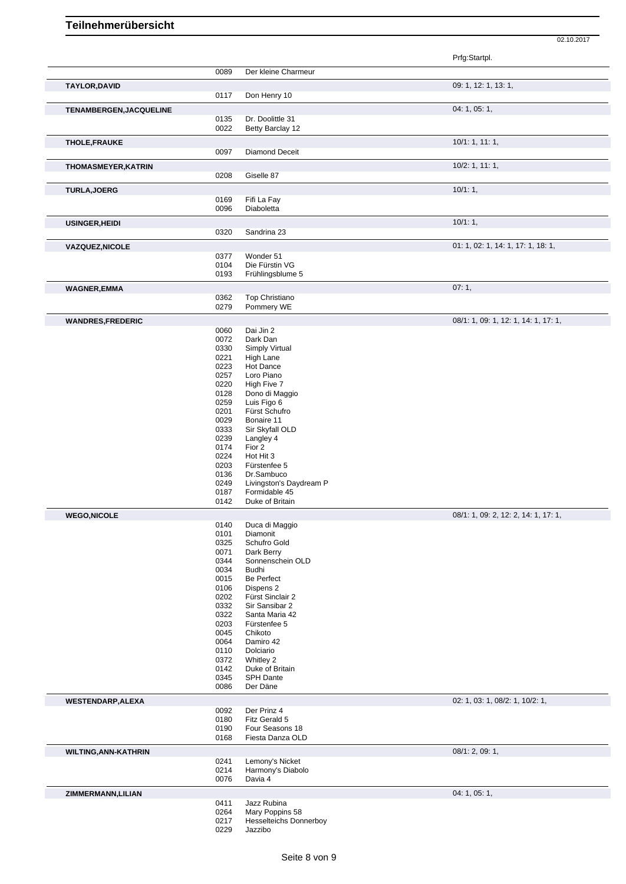| 0089<br>Der kleine Charmeur<br>09: 1, 12: 1, 13: 1,<br>TAYLOR, DAVID<br>0117<br>Don Henry 10<br>04: 1, 05: 1,<br>TENAMBERGEN, JACQUELINE<br>Dr. Doolittle 31<br>0135<br>0022<br>Betty Barclay 12<br>10/1: 1, 11: 1,<br>THOLE, FRAUKE<br>0097<br><b>Diamond Deceit</b><br>$10/2$ : 1, 11: 1,<br>THOMASMEYER, KATRIN<br>0208<br>Giselle 87<br>10/1:1,<br><b>TURLA, JOERG</b><br>0169<br>Fifi La Fay<br>0096<br>Diaboletta<br>10/1:1,<br><b>USINGER, HEIDI</b><br>0320<br>Sandrina 23<br>01: 1, 02: 1, 14: 1, 17: 1, 18: 1,<br><b>VAZQUEZ, NICOLE</b><br>0377<br>Wonder 51<br>0104<br>Die Fürstin VG<br>0193<br>Frühlingsblume 5<br>07:1,<br><b>WAGNER,EMMA</b><br>0362<br>Top Christiano<br>0279<br>Pommery WE<br>08/1: 1, 09: 1, 12: 1, 14: 1, 17: 1,<br><b>WANDRES,FREDERIC</b><br>Dai Jin 2<br>0060<br>0072<br>Dark Dan<br>0330<br>Simply Virtual<br>0221<br><b>High Lane</b><br>0223<br>Hot Dance<br>0257<br>Loro Piano<br>0220<br>High Five 7<br>0128<br>Dono di Maggio<br>0259<br>Luis Figo 6<br>0201<br>Fürst Schufro<br>0029<br>Bonaire 11<br>0333<br>Sir Skyfall OLD<br>0239<br>Langley 4<br>0174<br>Fior 2<br>0224<br>Hot Hit 3<br>0203<br>Fürstenfee 5<br>Dr.Sambuco<br>0136<br>0249<br>Livingston's Daydream P<br>Formidable 45<br>0187<br>0142<br>Duke of Britain<br>08/1: 1, 09: 2, 12: 2, 14: 1, 17: 1,<br><b>WEGO,NICOLE</b><br>0140<br>Duca di Maggio<br>0101<br>Diamonit<br>Schufro Gold<br>0325<br>0071<br>Dark Berry<br>0344<br>Sonnenschein OLD<br>0034<br><b>Budhi</b><br>Be Perfect<br>0015<br>0106<br>Dispens 2<br>0202<br>Fürst Sinclair 2<br>0332<br>Sir Sansibar 2<br>0322<br>Santa Maria 42<br>0203<br>Fürstenfee 5<br>0045<br>Chikoto<br>0064<br>Damiro 42<br>0110<br>Dolciario<br>0372<br>Whitley 2<br>0142<br>Duke of Britain<br>0345<br><b>SPH Dante</b><br>0086<br>Der Däne<br>02: 1, 03: 1, 08/2: 1, 10/2: 1,<br><b>WESTENDARP, ALEXA</b><br>0092<br>Der Prinz 4<br>0180<br>Fitz Gerald 5<br>0190<br>Four Seasons 18 |  |      |  |
|------------------------------------------------------------------------------------------------------------------------------------------------------------------------------------------------------------------------------------------------------------------------------------------------------------------------------------------------------------------------------------------------------------------------------------------------------------------------------------------------------------------------------------------------------------------------------------------------------------------------------------------------------------------------------------------------------------------------------------------------------------------------------------------------------------------------------------------------------------------------------------------------------------------------------------------------------------------------------------------------------------------------------------------------------------------------------------------------------------------------------------------------------------------------------------------------------------------------------------------------------------------------------------------------------------------------------------------------------------------------------------------------------------------------------------------------------------------------------------------------------------------------------------------------------------------------------------------------------------------------------------------------------------------------------------------------------------------------------------------------------------------------------------------------------------------------------------------------------------------------------------------------------------------------------------------------------|--|------|--|
|                                                                                                                                                                                                                                                                                                                                                                                                                                                                                                                                                                                                                                                                                                                                                                                                                                                                                                                                                                                                                                                                                                                                                                                                                                                                                                                                                                                                                                                                                                                                                                                                                                                                                                                                                                                                                                                                                                                                                      |  |      |  |
|                                                                                                                                                                                                                                                                                                                                                                                                                                                                                                                                                                                                                                                                                                                                                                                                                                                                                                                                                                                                                                                                                                                                                                                                                                                                                                                                                                                                                                                                                                                                                                                                                                                                                                                                                                                                                                                                                                                                                      |  |      |  |
|                                                                                                                                                                                                                                                                                                                                                                                                                                                                                                                                                                                                                                                                                                                                                                                                                                                                                                                                                                                                                                                                                                                                                                                                                                                                                                                                                                                                                                                                                                                                                                                                                                                                                                                                                                                                                                                                                                                                                      |  |      |  |
|                                                                                                                                                                                                                                                                                                                                                                                                                                                                                                                                                                                                                                                                                                                                                                                                                                                                                                                                                                                                                                                                                                                                                                                                                                                                                                                                                                                                                                                                                                                                                                                                                                                                                                                                                                                                                                                                                                                                                      |  |      |  |
|                                                                                                                                                                                                                                                                                                                                                                                                                                                                                                                                                                                                                                                                                                                                                                                                                                                                                                                                                                                                                                                                                                                                                                                                                                                                                                                                                                                                                                                                                                                                                                                                                                                                                                                                                                                                                                                                                                                                                      |  |      |  |
|                                                                                                                                                                                                                                                                                                                                                                                                                                                                                                                                                                                                                                                                                                                                                                                                                                                                                                                                                                                                                                                                                                                                                                                                                                                                                                                                                                                                                                                                                                                                                                                                                                                                                                                                                                                                                                                                                                                                                      |  |      |  |
|                                                                                                                                                                                                                                                                                                                                                                                                                                                                                                                                                                                                                                                                                                                                                                                                                                                                                                                                                                                                                                                                                                                                                                                                                                                                                                                                                                                                                                                                                                                                                                                                                                                                                                                                                                                                                                                                                                                                                      |  |      |  |
|                                                                                                                                                                                                                                                                                                                                                                                                                                                                                                                                                                                                                                                                                                                                                                                                                                                                                                                                                                                                                                                                                                                                                                                                                                                                                                                                                                                                                                                                                                                                                                                                                                                                                                                                                                                                                                                                                                                                                      |  |      |  |
|                                                                                                                                                                                                                                                                                                                                                                                                                                                                                                                                                                                                                                                                                                                                                                                                                                                                                                                                                                                                                                                                                                                                                                                                                                                                                                                                                                                                                                                                                                                                                                                                                                                                                                                                                                                                                                                                                                                                                      |  |      |  |
|                                                                                                                                                                                                                                                                                                                                                                                                                                                                                                                                                                                                                                                                                                                                                                                                                                                                                                                                                                                                                                                                                                                                                                                                                                                                                                                                                                                                                                                                                                                                                                                                                                                                                                                                                                                                                                                                                                                                                      |  |      |  |
|                                                                                                                                                                                                                                                                                                                                                                                                                                                                                                                                                                                                                                                                                                                                                                                                                                                                                                                                                                                                                                                                                                                                                                                                                                                                                                                                                                                                                                                                                                                                                                                                                                                                                                                                                                                                                                                                                                                                                      |  |      |  |
|                                                                                                                                                                                                                                                                                                                                                                                                                                                                                                                                                                                                                                                                                                                                                                                                                                                                                                                                                                                                                                                                                                                                                                                                                                                                                                                                                                                                                                                                                                                                                                                                                                                                                                                                                                                                                                                                                                                                                      |  |      |  |
|                                                                                                                                                                                                                                                                                                                                                                                                                                                                                                                                                                                                                                                                                                                                                                                                                                                                                                                                                                                                                                                                                                                                                                                                                                                                                                                                                                                                                                                                                                                                                                                                                                                                                                                                                                                                                                                                                                                                                      |  |      |  |
|                                                                                                                                                                                                                                                                                                                                                                                                                                                                                                                                                                                                                                                                                                                                                                                                                                                                                                                                                                                                                                                                                                                                                                                                                                                                                                                                                                                                                                                                                                                                                                                                                                                                                                                                                                                                                                                                                                                                                      |  |      |  |
|                                                                                                                                                                                                                                                                                                                                                                                                                                                                                                                                                                                                                                                                                                                                                                                                                                                                                                                                                                                                                                                                                                                                                                                                                                                                                                                                                                                                                                                                                                                                                                                                                                                                                                                                                                                                                                                                                                                                                      |  |      |  |
|                                                                                                                                                                                                                                                                                                                                                                                                                                                                                                                                                                                                                                                                                                                                                                                                                                                                                                                                                                                                                                                                                                                                                                                                                                                                                                                                                                                                                                                                                                                                                                                                                                                                                                                                                                                                                                                                                                                                                      |  |      |  |
|                                                                                                                                                                                                                                                                                                                                                                                                                                                                                                                                                                                                                                                                                                                                                                                                                                                                                                                                                                                                                                                                                                                                                                                                                                                                                                                                                                                                                                                                                                                                                                                                                                                                                                                                                                                                                                                                                                                                                      |  |      |  |
|                                                                                                                                                                                                                                                                                                                                                                                                                                                                                                                                                                                                                                                                                                                                                                                                                                                                                                                                                                                                                                                                                                                                                                                                                                                                                                                                                                                                                                                                                                                                                                                                                                                                                                                                                                                                                                                                                                                                                      |  |      |  |
|                                                                                                                                                                                                                                                                                                                                                                                                                                                                                                                                                                                                                                                                                                                                                                                                                                                                                                                                                                                                                                                                                                                                                                                                                                                                                                                                                                                                                                                                                                                                                                                                                                                                                                                                                                                                                                                                                                                                                      |  |      |  |
|                                                                                                                                                                                                                                                                                                                                                                                                                                                                                                                                                                                                                                                                                                                                                                                                                                                                                                                                                                                                                                                                                                                                                                                                                                                                                                                                                                                                                                                                                                                                                                                                                                                                                                                                                                                                                                                                                                                                                      |  |      |  |
|                                                                                                                                                                                                                                                                                                                                                                                                                                                                                                                                                                                                                                                                                                                                                                                                                                                                                                                                                                                                                                                                                                                                                                                                                                                                                                                                                                                                                                                                                                                                                                                                                                                                                                                                                                                                                                                                                                                                                      |  |      |  |
|                                                                                                                                                                                                                                                                                                                                                                                                                                                                                                                                                                                                                                                                                                                                                                                                                                                                                                                                                                                                                                                                                                                                                                                                                                                                                                                                                                                                                                                                                                                                                                                                                                                                                                                                                                                                                                                                                                                                                      |  |      |  |
|                                                                                                                                                                                                                                                                                                                                                                                                                                                                                                                                                                                                                                                                                                                                                                                                                                                                                                                                                                                                                                                                                                                                                                                                                                                                                                                                                                                                                                                                                                                                                                                                                                                                                                                                                                                                                                                                                                                                                      |  |      |  |
|                                                                                                                                                                                                                                                                                                                                                                                                                                                                                                                                                                                                                                                                                                                                                                                                                                                                                                                                                                                                                                                                                                                                                                                                                                                                                                                                                                                                                                                                                                                                                                                                                                                                                                                                                                                                                                                                                                                                                      |  |      |  |
|                                                                                                                                                                                                                                                                                                                                                                                                                                                                                                                                                                                                                                                                                                                                                                                                                                                                                                                                                                                                                                                                                                                                                                                                                                                                                                                                                                                                                                                                                                                                                                                                                                                                                                                                                                                                                                                                                                                                                      |  |      |  |
|                                                                                                                                                                                                                                                                                                                                                                                                                                                                                                                                                                                                                                                                                                                                                                                                                                                                                                                                                                                                                                                                                                                                                                                                                                                                                                                                                                                                                                                                                                                                                                                                                                                                                                                                                                                                                                                                                                                                                      |  |      |  |
|                                                                                                                                                                                                                                                                                                                                                                                                                                                                                                                                                                                                                                                                                                                                                                                                                                                                                                                                                                                                                                                                                                                                                                                                                                                                                                                                                                                                                                                                                                                                                                                                                                                                                                                                                                                                                                                                                                                                                      |  |      |  |
|                                                                                                                                                                                                                                                                                                                                                                                                                                                                                                                                                                                                                                                                                                                                                                                                                                                                                                                                                                                                                                                                                                                                                                                                                                                                                                                                                                                                                                                                                                                                                                                                                                                                                                                                                                                                                                                                                                                                                      |  |      |  |
|                                                                                                                                                                                                                                                                                                                                                                                                                                                                                                                                                                                                                                                                                                                                                                                                                                                                                                                                                                                                                                                                                                                                                                                                                                                                                                                                                                                                                                                                                                                                                                                                                                                                                                                                                                                                                                                                                                                                                      |  |      |  |
|                                                                                                                                                                                                                                                                                                                                                                                                                                                                                                                                                                                                                                                                                                                                                                                                                                                                                                                                                                                                                                                                                                                                                                                                                                                                                                                                                                                                                                                                                                                                                                                                                                                                                                                                                                                                                                                                                                                                                      |  |      |  |
|                                                                                                                                                                                                                                                                                                                                                                                                                                                                                                                                                                                                                                                                                                                                                                                                                                                                                                                                                                                                                                                                                                                                                                                                                                                                                                                                                                                                                                                                                                                                                                                                                                                                                                                                                                                                                                                                                                                                                      |  |      |  |
|                                                                                                                                                                                                                                                                                                                                                                                                                                                                                                                                                                                                                                                                                                                                                                                                                                                                                                                                                                                                                                                                                                                                                                                                                                                                                                                                                                                                                                                                                                                                                                                                                                                                                                                                                                                                                                                                                                                                                      |  |      |  |
|                                                                                                                                                                                                                                                                                                                                                                                                                                                                                                                                                                                                                                                                                                                                                                                                                                                                                                                                                                                                                                                                                                                                                                                                                                                                                                                                                                                                                                                                                                                                                                                                                                                                                                                                                                                                                                                                                                                                                      |  |      |  |
|                                                                                                                                                                                                                                                                                                                                                                                                                                                                                                                                                                                                                                                                                                                                                                                                                                                                                                                                                                                                                                                                                                                                                                                                                                                                                                                                                                                                                                                                                                                                                                                                                                                                                                                                                                                                                                                                                                                                                      |  |      |  |
|                                                                                                                                                                                                                                                                                                                                                                                                                                                                                                                                                                                                                                                                                                                                                                                                                                                                                                                                                                                                                                                                                                                                                                                                                                                                                                                                                                                                                                                                                                                                                                                                                                                                                                                                                                                                                                                                                                                                                      |  |      |  |
|                                                                                                                                                                                                                                                                                                                                                                                                                                                                                                                                                                                                                                                                                                                                                                                                                                                                                                                                                                                                                                                                                                                                                                                                                                                                                                                                                                                                                                                                                                                                                                                                                                                                                                                                                                                                                                                                                                                                                      |  |      |  |
|                                                                                                                                                                                                                                                                                                                                                                                                                                                                                                                                                                                                                                                                                                                                                                                                                                                                                                                                                                                                                                                                                                                                                                                                                                                                                                                                                                                                                                                                                                                                                                                                                                                                                                                                                                                                                                                                                                                                                      |  |      |  |
|                                                                                                                                                                                                                                                                                                                                                                                                                                                                                                                                                                                                                                                                                                                                                                                                                                                                                                                                                                                                                                                                                                                                                                                                                                                                                                                                                                                                                                                                                                                                                                                                                                                                                                                                                                                                                                                                                                                                                      |  |      |  |
|                                                                                                                                                                                                                                                                                                                                                                                                                                                                                                                                                                                                                                                                                                                                                                                                                                                                                                                                                                                                                                                                                                                                                                                                                                                                                                                                                                                                                                                                                                                                                                                                                                                                                                                                                                                                                                                                                                                                                      |  |      |  |
|                                                                                                                                                                                                                                                                                                                                                                                                                                                                                                                                                                                                                                                                                                                                                                                                                                                                                                                                                                                                                                                                                                                                                                                                                                                                                                                                                                                                                                                                                                                                                                                                                                                                                                                                                                                                                                                                                                                                                      |  |      |  |
|                                                                                                                                                                                                                                                                                                                                                                                                                                                                                                                                                                                                                                                                                                                                                                                                                                                                                                                                                                                                                                                                                                                                                                                                                                                                                                                                                                                                                                                                                                                                                                                                                                                                                                                                                                                                                                                                                                                                                      |  |      |  |
|                                                                                                                                                                                                                                                                                                                                                                                                                                                                                                                                                                                                                                                                                                                                                                                                                                                                                                                                                                                                                                                                                                                                                                                                                                                                                                                                                                                                                                                                                                                                                                                                                                                                                                                                                                                                                                                                                                                                                      |  |      |  |
|                                                                                                                                                                                                                                                                                                                                                                                                                                                                                                                                                                                                                                                                                                                                                                                                                                                                                                                                                                                                                                                                                                                                                                                                                                                                                                                                                                                                                                                                                                                                                                                                                                                                                                                                                                                                                                                                                                                                                      |  |      |  |
|                                                                                                                                                                                                                                                                                                                                                                                                                                                                                                                                                                                                                                                                                                                                                                                                                                                                                                                                                                                                                                                                                                                                                                                                                                                                                                                                                                                                                                                                                                                                                                                                                                                                                                                                                                                                                                                                                                                                                      |  |      |  |
|                                                                                                                                                                                                                                                                                                                                                                                                                                                                                                                                                                                                                                                                                                                                                                                                                                                                                                                                                                                                                                                                                                                                                                                                                                                                                                                                                                                                                                                                                                                                                                                                                                                                                                                                                                                                                                                                                                                                                      |  |      |  |
|                                                                                                                                                                                                                                                                                                                                                                                                                                                                                                                                                                                                                                                                                                                                                                                                                                                                                                                                                                                                                                                                                                                                                                                                                                                                                                                                                                                                                                                                                                                                                                                                                                                                                                                                                                                                                                                                                                                                                      |  |      |  |
|                                                                                                                                                                                                                                                                                                                                                                                                                                                                                                                                                                                                                                                                                                                                                                                                                                                                                                                                                                                                                                                                                                                                                                                                                                                                                                                                                                                                                                                                                                                                                                                                                                                                                                                                                                                                                                                                                                                                                      |  |      |  |
|                                                                                                                                                                                                                                                                                                                                                                                                                                                                                                                                                                                                                                                                                                                                                                                                                                                                                                                                                                                                                                                                                                                                                                                                                                                                                                                                                                                                                                                                                                                                                                                                                                                                                                                                                                                                                                                                                                                                                      |  |      |  |
|                                                                                                                                                                                                                                                                                                                                                                                                                                                                                                                                                                                                                                                                                                                                                                                                                                                                                                                                                                                                                                                                                                                                                                                                                                                                                                                                                                                                                                                                                                                                                                                                                                                                                                                                                                                                                                                                                                                                                      |  |      |  |
|                                                                                                                                                                                                                                                                                                                                                                                                                                                                                                                                                                                                                                                                                                                                                                                                                                                                                                                                                                                                                                                                                                                                                                                                                                                                                                                                                                                                                                                                                                                                                                                                                                                                                                                                                                                                                                                                                                                                                      |  |      |  |
|                                                                                                                                                                                                                                                                                                                                                                                                                                                                                                                                                                                                                                                                                                                                                                                                                                                                                                                                                                                                                                                                                                                                                                                                                                                                                                                                                                                                                                                                                                                                                                                                                                                                                                                                                                                                                                                                                                                                                      |  |      |  |
|                                                                                                                                                                                                                                                                                                                                                                                                                                                                                                                                                                                                                                                                                                                                                                                                                                                                                                                                                                                                                                                                                                                                                                                                                                                                                                                                                                                                                                                                                                                                                                                                                                                                                                                                                                                                                                                                                                                                                      |  |      |  |
|                                                                                                                                                                                                                                                                                                                                                                                                                                                                                                                                                                                                                                                                                                                                                                                                                                                                                                                                                                                                                                                                                                                                                                                                                                                                                                                                                                                                                                                                                                                                                                                                                                                                                                                                                                                                                                                                                                                                                      |  |      |  |
| Fiesta Danza OLD                                                                                                                                                                                                                                                                                                                                                                                                                                                                                                                                                                                                                                                                                                                                                                                                                                                                                                                                                                                                                                                                                                                                                                                                                                                                                                                                                                                                                                                                                                                                                                                                                                                                                                                                                                                                                                                                                                                                     |  | 0168 |  |
| 08/1: 2, 09: 1,<br><b>WILTING, ANN-KATHRIN</b>                                                                                                                                                                                                                                                                                                                                                                                                                                                                                                                                                                                                                                                                                                                                                                                                                                                                                                                                                                                                                                                                                                                                                                                                                                                                                                                                                                                                                                                                                                                                                                                                                                                                                                                                                                                                                                                                                                       |  |      |  |
| 0241<br>Lemony's Nicket<br>0214<br>Harmony's Diabolo                                                                                                                                                                                                                                                                                                                                                                                                                                                                                                                                                                                                                                                                                                                                                                                                                                                                                                                                                                                                                                                                                                                                                                                                                                                                                                                                                                                                                                                                                                                                                                                                                                                                                                                                                                                                                                                                                                 |  |      |  |
| 0076<br>Davia 4                                                                                                                                                                                                                                                                                                                                                                                                                                                                                                                                                                                                                                                                                                                                                                                                                                                                                                                                                                                                                                                                                                                                                                                                                                                                                                                                                                                                                                                                                                                                                                                                                                                                                                                                                                                                                                                                                                                                      |  |      |  |
| 04: 1, 05: 1,<br>ZIMMERMANN, LILIAN                                                                                                                                                                                                                                                                                                                                                                                                                                                                                                                                                                                                                                                                                                                                                                                                                                                                                                                                                                                                                                                                                                                                                                                                                                                                                                                                                                                                                                                                                                                                                                                                                                                                                                                                                                                                                                                                                                                  |  |      |  |
| 0411<br>Jazz Rubina                                                                                                                                                                                                                                                                                                                                                                                                                                                                                                                                                                                                                                                                                                                                                                                                                                                                                                                                                                                                                                                                                                                                                                                                                                                                                                                                                                                                                                                                                                                                                                                                                                                                                                                                                                                                                                                                                                                                  |  |      |  |
| 0264<br>Mary Poppins 58<br>0217<br><b>Hesselteichs Donnerboy</b>                                                                                                                                                                                                                                                                                                                                                                                                                                                                                                                                                                                                                                                                                                                                                                                                                                                                                                                                                                                                                                                                                                                                                                                                                                                                                                                                                                                                                                                                                                                                                                                                                                                                                                                                                                                                                                                                                     |  |      |  |
| 0229<br>Jazzibo                                                                                                                                                                                                                                                                                                                                                                                                                                                                                                                                                                                                                                                                                                                                                                                                                                                                                                                                                                                                                                                                                                                                                                                                                                                                                                                                                                                                                                                                                                                                                                                                                                                                                                                                                                                                                                                                                                                                      |  |      |  |